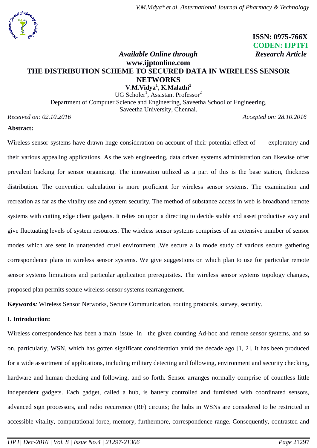## **ISSN: 0975-766X CODEN: IJPTFI** *Available Online through* **Research Article**

# **www.ijptonline.com THE DISTRIBUTION SCHEME TO SECURED DATA IN WIRELESS SENSOR NETWORKS**

**V.M.Vidya<sup>1</sup> , K.Malathi<sup>2</sup>** UG Scholer<sup>1</sup>, Assistant Professor<sup>2</sup> Department of Computer Science and Engineering, Saveetha School of Engineering, Saveetha University, Chennai.

*Received on: 02.10.2016 Accepted on: 28.10.2016*

## **Abstract:**

Wireless sensor systems have drawn huge consideration on account of their potential effect of exploratory and their various appealing applications. As the web engineering, data driven systems administration can likewise offer prevalent backing for sensor organizing. The innovation utilized as a part of this is the base station, thickness distribution. The convention calculation is more proficient for wireless sensor systems. The examination and recreation as far as the vitality use and system security. The method of substance access in web is broadband remote systems with cutting edge client gadgets. It relies on upon a directing to decide stable and asset productive way and give fluctuating levels of system resources. The wireless sensor systems comprises of an extensive number of sensor modes which are sent in unattended cruel environment .We secure a la mode study of various secure gathering correspondence plans in wireless sensor systems. We give suggestions on which plan to use for particular remote sensor systems limitations and particular application prerequisites. The wireless sensor systems topology changes, proposed plan permits secure wireless sensor systems rearrangement.

**Keywords***:* Wireless Sensor Networks, Secure Communication, routing protocols, survey, security.

## **I. Introduction:**

Wireless correspondence has been a main issue in the given counting Ad-hoc and remote sensor systems, and so on, particularly, WSN, which has gotten significant consideration amid the decade ago [1, 2]. It has been produced for a wide assortment of applications, including military detecting and following, environment and security checking, hardware and human checking and following, and so forth. Sensor arranges normally comprise of countless little independent gadgets. Each gadget, called a hub, is battery controlled and furnished with coordinated sensors, advanced sign processors, and radio recurrence (RF) circuits; the hubs in WSNs are considered to be restricted in accessible vitality, computational force, memory, furthermore, correspondence range. Consequently, contrasted and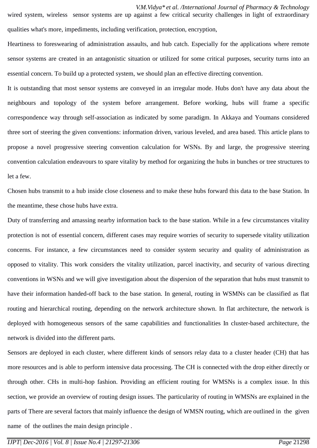*V.M.Vidya\* et al. /International Journal of Pharmacy & Technology* wired system, wireless sensor systems are up against a few critical security challenges in light of extraordinary qualities what's more, impediments, including verification, protection, encryption,

Heartiness to foreswearing of administration assaults, and hub catch. Especially for the applications where remote sensor systems are created in an antagonistic situation or utilized for some critical purposes, security turns into an essential concern. To build up a protected system, we should plan an effective directing convention.

It is outstanding that most sensor systems are conveyed in an irregular mode. Hubs don't have any data about the neighbours and topology of the system before arrangement. Before working, hubs will frame a specific correspondence way through self-association as indicated by some paradigm. In Akkaya and Youmans considered three sort of steering the given conventions: information driven, various leveled, and area based. This article plans to propose a novel progressive steering convention calculation for WSNs. By and large, the progressive steering convention calculation endeavours to spare vitality by method for organizing the hubs in bunches or tree structures to let a few.

Chosen hubs transmit to a hub inside close closeness and to make these hubs forward this data to the base Station. In the meantime, these chose hubs have extra.

Duty of transferring and amassing nearby information back to the base station. While in a few circumstances vitality protection is not of essential concern, different cases may require worries of security to supersede vitality utilization concerns. For instance, a few circumstances need to consider system security and quality of administration as opposed to vitality. This work considers the vitality utilization, parcel inactivity, and security of various directing conventions in WSNs and we will give investigation about the dispersion of the separation that hubs must transmit to have their information handed-off back to the base station. In general, routing in WSMNs can be classified as flat routing and hierarchical routing, depending on the network architecture shown. In flat architecture, the network is deployed with homogeneous sensors of the same capabilities and functionalities In cluster-based architecture, the network is divided into the different parts.

Sensors are deployed in each cluster, where different kinds of sensors relay data to a cluster header (CH) that has more resources and is able to perform intensive data processing. The CH is connected with the drop either directly or through other. CHs in multi-hop fashion. Providing an efficient routing for WMSNs is a complex issue. In this section, we provide an overview of routing design issues. The particularity of routing in WMSNs are explained in the parts of There are several factors that mainly influence the design of WMSN routing, which are outlined in the given name of the outlines the main design principle .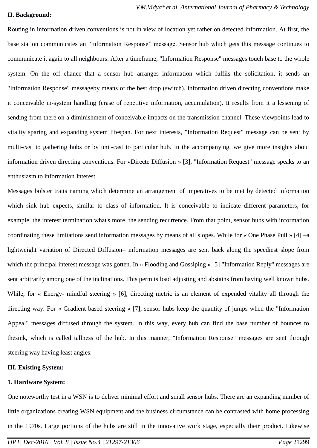## **II. Background:**

Routing in information driven conventions is not in view of location yet rather on detected information. At first, the base station communicates an "Information Response" message. Sensor hub which gets this message continues to communicate it again to all neighbours. After a timeframe, "Information Response" messages touch base to the whole system. On the off chance that a sensor hub arranges information which fulfils the solicitation, it sends an "Information Response" messageby means of the best drop (switch). Information driven directing conventions make it conceivable in-system handling (erase of repetitive information, accumulation). It results from it a lessening of sending from there on a diminishment of conceivable impacts on the transmission channel. These viewpoints lead to vitality sparing and expanding system lifespan. For next interests, "Information Request" message can be sent by multi-cast to gathering hubs or by unit-cast to particular hub. In the accompanying, we give more insights about information driven directing conventions. For «Directe Diffusion » [3], "Information Request" message speaks to an enthusiasm to information Interest.

Messages bolster traits naming which determine an arrangement of imperatives to be met by detected information which sink hub expects, similar to class of information. It is conceivable to indicate different parameters, for example, the interest termination what's more, the sending recurrence. From that point, sensor hubs with information coordinating these limitations send information messages by means of all slopes. While for « One Phase Pull » [4] –a lightweight variation of Directed Diffusion– information messages are sent back along the speediest slope from which the principal interest message was gotten. In « Flooding and Gossiping » [5] "Information Reply" messages are sent arbitrarily among one of the inclinations. This permits load adjusting and abstains from having well known hubs. While, for « Energy- mindful steering » [6], directing metric is an element of expended vitality all through the directing way. For « Gradient based steering » [7], sensor hubs keep the quantity of jumps when the "Information Appeal" messages diffused through the system. In this way, every hub can find the base number of bounces to thesink, which is called tallness of the hub. In this manner, "Information Response" messages are sent through steering way having least angles.

## **III. Existing System:**

## **1. Hardware System:**

One noteworthy test in a WSN is to deliver minimal effort and small sensor hubs. There are an expanding number of little organizations creating WSN equipment and the business circumstance can be contrasted with home processing in the 1970s. Large portions of the hubs are still in the innovative work stage, especially their product. Likewise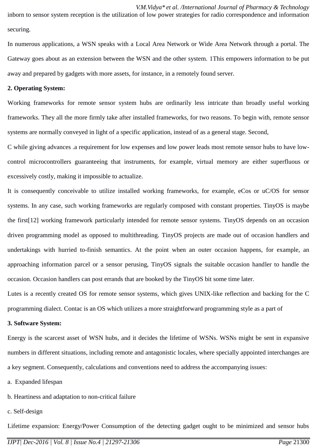*V.M.Vidya\* et al. /International Journal of Pharmacy & Technology* inborn to sensor system reception is the utilization of low power strategies for radio correspondence and information securing.

In numerous applications, a WSN speaks with a Local Area Network or Wide Area Network through a portal. The Gateway goes about as an extension between the WSN and the other system. 1This empowers information to be put away and prepared by gadgets with more assets, for instance, in a remotely found server.

#### **2. Operating System:**

Working frameworks for remote sensor system hubs are ordinarily less intricate than broadly useful working frameworks. They all the more firmly take after installed frameworks, for two reasons. To begin with, remote sensor systems are normally conveyed in light of a specific application, instead of as a general stage. Second,

C while giving advances .a requirement for low expenses and low power leads most remote sensor hubs to have lowcontrol microcontrollers guaranteeing that instruments, for example, virtual memory are either superfluous or excessively costly, making it impossible to actualize.

It is consequently conceivable to utilize installed working frameworks, for example, eCos or uC/OS for sensor systems. In any case, such working frameworks are regularly composed with constant properties. TinyOS is maybe the first[12] working framework particularly intended for remote sensor systems. TinyOS depends on an occasion driven programming model as opposed to multithreading. TinyOS projects are made out of occasion handlers and undertakings with hurried to-finish semantics. At the point when an outer occasion happens, for example, an approaching information parcel or a sensor perusing, TinyOS signals the suitable occasion handler to handle the occasion. Occasion handlers can post errands that are booked by the TinyOS bit some time later.

Lutes is a recently created OS for remote sensor systems, which gives UNIX-like reflection and backing for the C programming dialect. Contac is an OS which utilizes a more straightforward programming style as a part of

#### **3. Software System:**

Energy is the scarcest asset of WSN hubs, and it decides the lifetime of WSNs. WSNs might be sent in expansive numbers in different situations, including remote and antagonistic locales, where specially appointed interchanges are a key segment. Consequently, calculations and conventions need to address the accompanying issues:

- a. Expanded lifespan
- b. Heartiness and adaptation to non-critical failure
- c. Self-design

Lifetime expansion: Energy/Power Consumption of the detecting gadget ought to be minimized and sensor hubs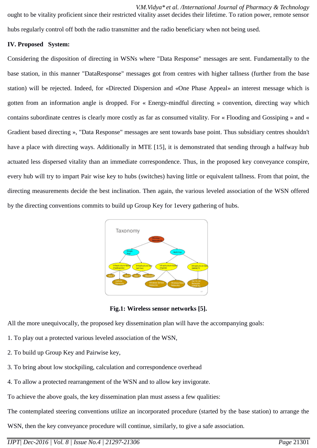*V.M.Vidya\* et al. /International Journal of Pharmacy & Technology* ought to be vitality proficient since their restricted vitality asset decides their lifetime. To ration power, remote sensor hubs regularly control off both the radio transmitter and the radio beneficiary when not being used.

## **IV. Proposed System:**

Considering the disposition of directing in WSNs where "Data Response" messages are sent. Fundamentally to the base station, in this manner "DataResponse" messages got from centres with higher tallness (further from the base station) will be rejected. Indeed, for «Directed Dispersion and «One Phase Appeal» an interest message which is gotten from an information angle is dropped. For « Energy-mindful directing » convention, directing way which contains subordinate centres is clearly more costly as far as consumed vitality. For « Flooding and Gossiping » and « Gradient based directing », "Data Response" messages are sent towards base point. Thus subsidiary centres shouldn't have a place with directing ways. Additionally in MTE [15], it is demonstrated that sending through a halfway hub actuated less dispersed vitality than an immediate correspondence. Thus, in the proposed key conveyance conspire, every hub will try to impart Pair wise key to hubs (switches) having little or equivalent tallness. From that point, the directing measurements decide the best inclination. Then again, the various leveled association of the WSN offered by the directing conventions commits to build up Group Key for 1every gathering of hubs.



**Fig.1: Wireless sensor networks [5].**

All the more unequivocally, the proposed key dissemination plan will have the accompanying goals:

- 1. To play out a protected various leveled association of the WSN,
- 2. To build up Group Key and Pairwise key,
- 3. To bring about low stockpiling, calculation and correspondence overhead
- 4. To allow a protected rearrangement of the WSN and to allow key invigorate.

To achieve the above goals, the key dissemination plan must assess a few qualities:

The contemplated steering conventions utilize an incorporated procedure (started by the base station) to arrange the

WSN, then the key conveyance procedure will continue, similarly, to give a safe association.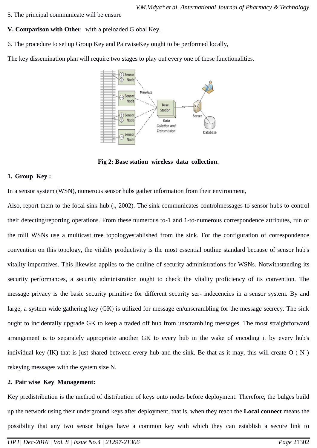- 5. The principal communicate will be ensure
- **V. Comparison with Other** with a preloaded Global Key.
- 6. The procedure to set up Group Key and PairwiseKey ought to be performed locally,

The key dissemination plan will require two stages to play out every one of these functionalities.



**Fig 2: Base station wireless data collection.**

## **1. Group Key :**

In a sensor system (WSN), numerous sensor hubs gather information from their environment,

Also, report them to the focal sink hub (., 2002). The sink communicates controlmessages to sensor hubs to control their detecting/reporting operations. From these numerous to-1 and 1-to-numerous correspondence attributes, run of the mill WSNs use a multicast tree topologyestablished from the sink. For the configuration of correspondence convention on this topology, the vitality productivity is the most essential outline standard because of sensor hub's vitality imperatives. This likewise applies to the outline of security administrations for WSNs. Notwithstanding its security performances, a security administration ought to check the vitality proficiency of its convention. The message privacy is the basic security primitive for different security ser- indecencies in a sensor system. By and large, a system wide gathering key (GK) is utilized for message en/unscrambling for the message secrecy. The sink ought to incidentally upgrade GK to keep a traded off hub from unscrambling messages. The most straightforward arrangement is to separately appropriate another GK to every hub in the wake of encoding it by every hub's individual key (IK) that is just shared between every hub and the sink. Be that as it may, this will create  $O(N)$ rekeying messages with the system size N.

## **2. Pair wise Key Management:**

Key predistribution is the method of distribution of keys onto nodes before deployment. Therefore, the bulges build up the network using their underground keys after deployment, that is, when they reach the **Local connect** means the possibility that any two sensor bulges have a common key with which they can establish a secure link to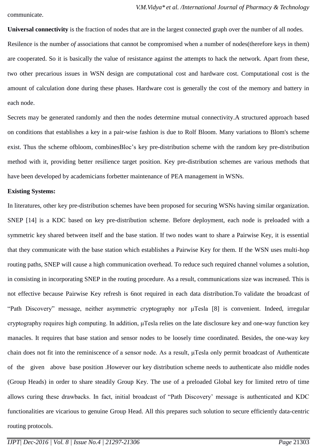communicate.

**Universal connectivity** is the fraction of nodes that are in the largest connected graph over the number of all nodes. Resilence is the number *of* associations that cannot be compromised when a number of nodes(therefore keys in them) are cooperated. So it is basically the value of resistance against the attempts to hack the network. Apart from these, two other precarious issues in WSN design are computational cost and hardware cost. Computational cost is the amount of calculation done during these phases. Hardware cost is generally the cost of the memory and battery in each node.

Secrets may be generated randomly and then the nodes determine mutual connectivity.A structured approach based on conditions that establishes a key in a pair-wise fashion is due to Rolf Bloom. Many variations to [Blom's scheme](https://en.wikipedia.org/wiki/Blom) exist. Thus the scheme ofbloom, combinesBloc's key pre-distribution scheme with the random key pre-distribution method with it, providing better resilience target position. Key pre-distribution schemes are various methods that have been developed by academicians forbetter maintenance of PEA management in WSNs.

#### **Existing Systems:**

In literatures, other key pre-distribution schemes have been proposed for securing WSNs having similar organization. SNEP [14] is a KDC based on key pre-distribution scheme. Before deployment, each node is preloaded with a symmetric key shared between itself and the base station. If two nodes want to share a Pairwise Key, it is essential that they communicate with the base station which establishes a Pairwise Key for them. If the WSN uses multi-hop routing paths, SNEP will cause a high communication overhead. To reduce such required channel volumes a solution, in consisting in incorporating SNEP in the routing procedure. As a result, communications size was increased. This is not effective because Pairwise Key refresh is 6not required in each data distribution.To validate the broadcast of "Path Discovery" message, neither asymmetric cryptography nor μTesla [8] is convenient. Indeed, irregular cryptography requires high computing. In addition, μTesla relies on the late disclosure key and one-way function key manacles. It requires that base station and sensor nodes to be loosely time coordinated. Besides, the one-way key chain does not fit into the reminiscence of a sensor node. As a result, μTesla only permit broadcast of Authenticate of the given above base position .However our key distribution scheme needs to authenticate also middle nodes (Group Heads) in order to share steadily Group Key. The use of a preloaded Global key for limited retro of time allows curing these drawbacks. In fact, initial broadcast of "Path Discovery' message is authenticated and KDC functionalities are vicarious to genuine Group Head. All this prepares such solution to secure efficiently data-centric routing protocols.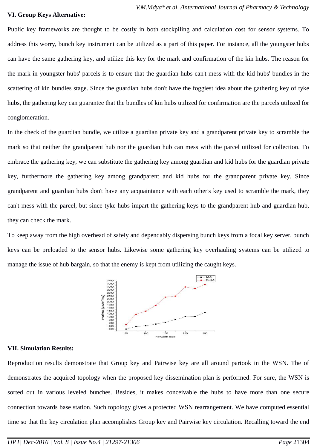#### **VI. Group Keys Alternative:**

Public key frameworks are thought to be costly in both stockpiling and calculation cost for sensor systems. To address this worry, bunch key instrument can be utilized as a part of this paper. For instance, all the youngster hubs can have the same gathering key, and utilize this key for the mark and confirmation of the kin hubs. The reason for the mark in youngster hubs' parcels is to ensure that the guardian hubs can't mess with the kid hubs' bundles in the scattering of kin bundles stage. Since the guardian hubs don't have the foggiest idea about the gathering key of tyke hubs, the gathering key can guarantee that the bundles of kin hubs utilized for confirmation are the parcels utilized for conglomeration.

In the check of the guardian bundle, we utilize a guardian private key and a grandparent private key to scramble the mark so that neither the grandparent hub nor the guardian hub can mess with the parcel utilized for collection. To embrace the gathering key, we can substitute the gathering key among guardian and kid hubs for the guardian private key, furthermore the gathering key among grandparent and kid hubs for the grandparent private key. Since grandparent and guardian hubs don't have any acquaintance with each other's key used to scramble the mark, they can't mess with the parcel, but since tyke hubs impart the gathering keys to the grandparent hub and guardian hub, they can check the mark.

To keep away from the high overhead of safely and dependably dispersing bunch keys from a focal key server, bunch keys can be preloaded to the sensor hubs. Likewise some gathering key overhauling systems can be utilized to manage the issue of hub bargain, so that the enemy is kept from utilizing the caught keys.



## **VII. Simulation Results:**

Reproduction results demonstrate that Group key and Pairwise key are all around partook in the WSN. The of demonstrates the acquired topology when the proposed key dissemination plan is performed. For sure, the WSN is sorted out in various leveled bunches. Besides, it makes conceivable the hubs to have more than one secure connection towards base station. Such topology gives a protected WSN rearrangement. We have computed essential time so that the key circulation plan accomplishes Group key and Pairwise key circulation. Recalling toward the end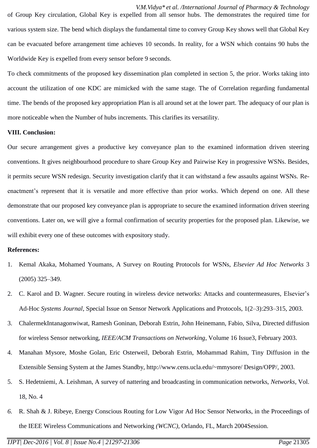*V.M.Vidya\* et al. /International Journal of Pharmacy & Technology* of Group Key circulation, Global Key is expelled from all sensor hubs. The demonstrates the required time for various system size. The bend which displays the fundamental time to convey Group Key shows well that Global Key can be evacuated before arrangement time achieves 10 seconds. In reality, for a WSN which contains 90 hubs the Worldwide Key is expelled from every sensor before 9 seconds.

To check commitments of the proposed key dissemination plan completed in section 5, the prior. Works taking into account the utilization of one KDC are mimicked with the same stage. The of Correlation regarding fundamental time. The bends of the proposed key appropriation Plan is all around set at the lower part. The adequacy of our plan is more noticeable when the Number of hubs increments. This clarifies its versatility.

## **VIII. Conclusion:**

Our secure arrangement gives a productive key conveyance plan to the examined information driven steering conventions. It gives neighbourhood procedure to share Group Key and Pairwise Key in progressive WSNs. Besides, it permits secure WSN redesign. Security investigation clarify that it can withstand a few assaults against WSNs. Reenactment's represent that it is versatile and more effective than prior works. Which depend on one. All these demonstrate that our proposed key conveyance plan is appropriate to secure the examined information driven steering conventions. Later on, we will give a formal confirmation of security properties for the proposed plan. Likewise, we will exhibit every one of these outcomes with expository study.

## **References:**

- 1. Kemal Akaka, Mohamed Youmans, A Survey on Routing Protocols for WSNs, *Elsevier Ad Hoc Networks* 3 (2005) 325–349.
- 2. C. Karol and D. Wagner. Secure routing in wireless device networks: Attacks and countermeasures, Elsevier's Ad-Hoc *Systems Journal*, Special Issue on Sensor Network Applications and Protocols, 1(2–3):293–315, 2003.
- 3. ChalermekIntanagonwiwat, Ramesh Goninan, Deborah Estrin, John Heinemann, Fabio, Silva, Directed diffusion for wireless Sensor networking, *IEEE/ACM Transactions on Networking*, Volume 16 Issue3, February 2003.
- 4. Manahan Mysore, Moshe Golan, Eric Osterweil, Deborah Estrin, Mohammad Rahim, Tiny Diffusion in the Extensible Sensing System at the James Standby, http://www.cens.ucla.edu/~mmysore/ Design/OPP/, 2003.
- 5. S. Hedetniemi, A. Leishman, A survey of nattering and broadcasting in communication networks, *Networks*, Vol. 18, No. 4
- *6.* R. Shah & J. Ribeye, Energy Conscious Routing for Low Vigor Ad Hoc Sensor Networks, in the Proceedings of the IEEE Wireless Communications and Networking *(WCNC)*, Orlando, FL, March 2004Session.